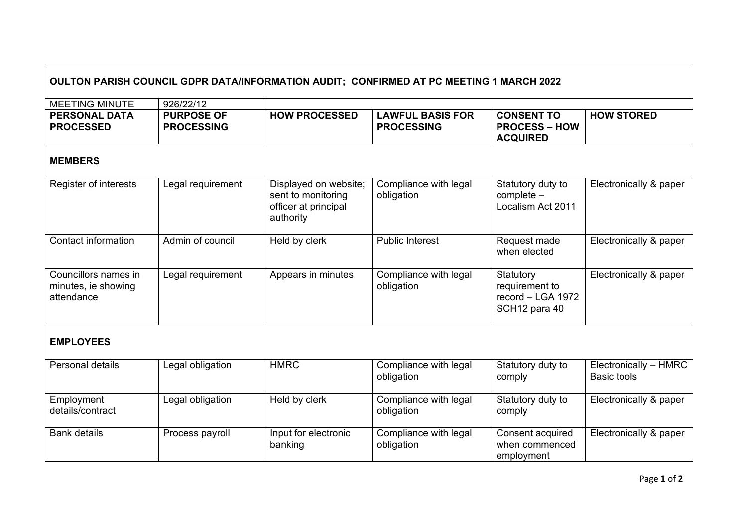## **OULTON PARISH COUNCIL GDPR DATA/INFORMATION AUDIT; CONFIRMED AT PC MEETING 1 MARCH 2022** MEETING MINUTE 926/22/12 **PERSONAL DATA PROCESSED PURPOSE OF PROCESSING HOW PROCESSED LAWFUL BASIS FOR PROCESSING CONSENT TO PROCESS – HOW ACQUIRED HOW STORED MEMBERS** Register of interests Legal requirement Displayed on website; sent to monitoring officer at principal authority Compliance with legal obligation Statutory duty to complete – Localism Act 2011 Electronically & paper Contact information | Admin of council | Held by clerk | Public Interest | Request made when elected Electronically & paper Councillors names in minutes, ie showing attendance Legal requirement | Appears in minutes | Compliance with legal obligation Statutory requirement to record – LGA 1972 SCH12 para 40 Electronically & paper **EMPLOYEES** Personal details Legal obligation HMRC Compliance with legal obligation Statutory duty to comply Electronically – HMRC Basic tools Employment details/contract Legal obligation  $\vert$  Held by clerk  $\vert$  Compliance with legal obligation Statutory duty to comply Electronically & paper

Compliance with legal

Consent acquired when commenced employment

obligation

Bank details **Process payroll** Input for electronic

banking

Electronically & paper